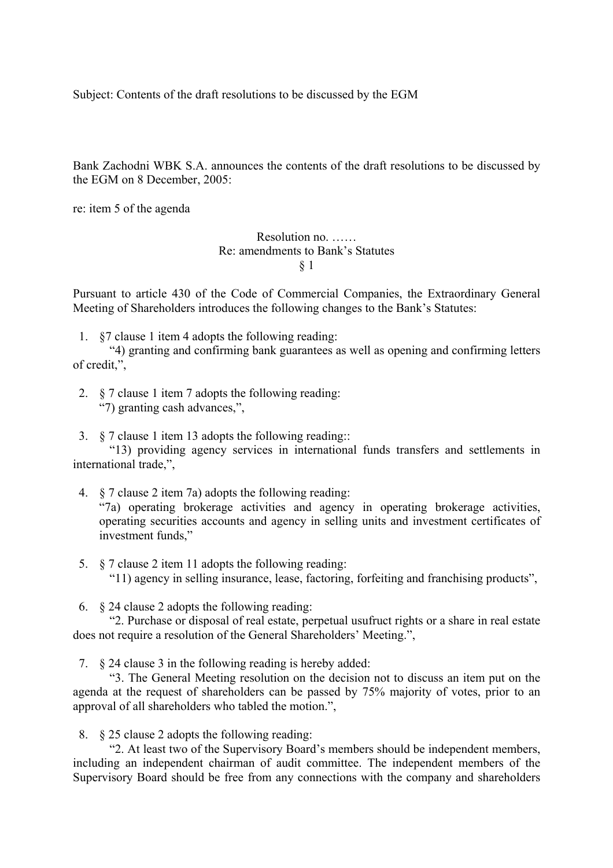Subject: Contents of the draft resolutions to be discussed by the EGM

Bank Zachodni WBK S.A. announces the contents of the draft resolutions to be discussed by the EGM on 8 December, 2005:

re: item 5 of the agenda

Resolution no. …… Re: amendments to Bank's Statutes § 1

Pursuant to article 430 of the Code of Commercial Companies, the Extraordinary General Meeting of Shareholders introduces the following changes to the Bank's Statutes:

1. §7 clause 1 item 4 adopts the following reading:

"4) granting and confirming bank guarantees as well as opening and confirming letters of credit,",

- 2. § 7 clause 1 item 7 adopts the following reading: "7) granting cash advances,",
- 3. § 7 clause 1 item 13 adopts the following reading::

"13) providing agency services in international funds transfers and settlements in international trade,",

- 4. § 7 clause 2 item 7a) adopts the following reading: "7a) operating brokerage activities and agency in operating brokerage activities, operating securities accounts and agency in selling units and investment certificates of investment funds,"
- 5. § 7 clause 2 item 11 adopts the following reading: "11) agency in selling insurance, lease, factoring, forfeiting and franchising products",
- 6. § 24 clause 2 adopts the following reading:

"2. Purchase or disposal of real estate, perpetual usufruct rights or a share in real estate does not require a resolution of the General Shareholders' Meeting.",

7. § 24 clause 3 in the following reading is hereby added:

"3. The General Meeting resolution on the decision not to discuss an item put on the agenda at the request of shareholders can be passed by 75% majority of votes, prior to an approval of all shareholders who tabled the motion.",

8. § 25 clause 2 adopts the following reading:

"2. At least two of the Supervisory Board's members should be independent members, including an independent chairman of audit committee. The independent members of the Supervisory Board should be free from any connections with the company and shareholders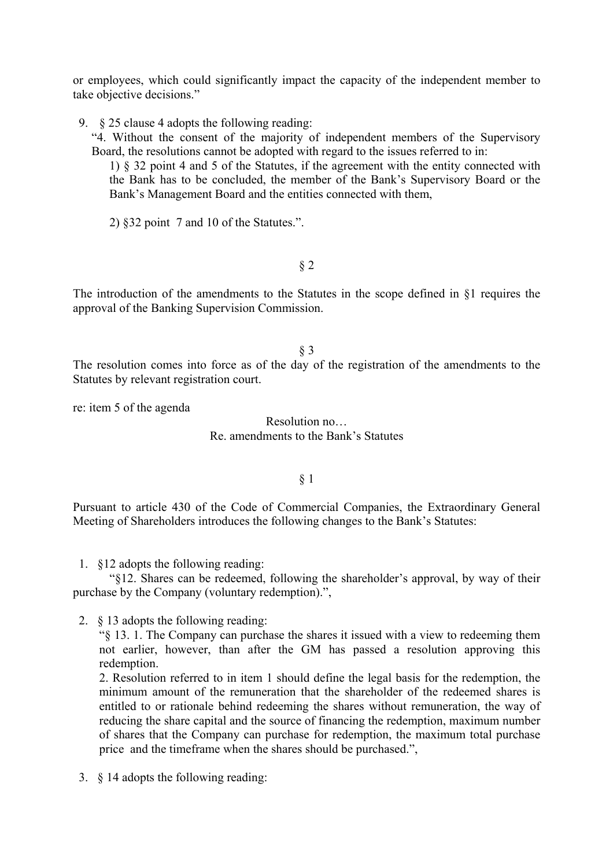or employees, which could significantly impact the capacity of the independent member to take objective decisions."

- 9. § 25 clause 4 adopts the following reading:
	- "4. Without the consent of the majority of independent members of the Supervisory Board, the resolutions cannot be adopted with regard to the issues referred to in:
		- 1) § 32 point 4 and 5 of the Statutes, if the agreement with the entity connected with the Bank has to be concluded, the member of the Bank's Supervisory Board or the Bank's Management Board and the entities connected with them,
		- 2) §32 point 7 and 10 of the Statutes.".

§ 2

The introduction of the amendments to the Statutes in the scope defined in §1 requires the approval of the Banking Supervision Commission.

### § 3

The resolution comes into force as of the day of the registration of the amendments to the Statutes by relevant registration court.

re: item 5 of the agenda

### Resolution no… Re. amendments to the Bank's Statutes

### § 1

Pursuant to article 430 of the Code of Commercial Companies, the Extraordinary General Meeting of Shareholders introduces the following changes to the Bank's Statutes:

1. §12 adopts the following reading:

"§12. Shares can be redeemed, following the shareholder's approval, by way of their purchase by the Company (voluntary redemption).",

2. § 13 adopts the following reading:

"§ 13. 1. The Company can purchase the shares it issued with a view to redeeming them not earlier, however, than after the GM has passed a resolution approving this redemption.

2. Resolution referred to in item 1 should define the legal basis for the redemption, the minimum amount of the remuneration that the shareholder of the redeemed shares is entitled to or rationale behind redeeming the shares without remuneration, the way of reducing the share capital and the source of financing the redemption, maximum number of shares that the Company can purchase for redemption, the maximum total purchase price and the timeframe when the shares should be purchased.",

3. § 14 adopts the following reading: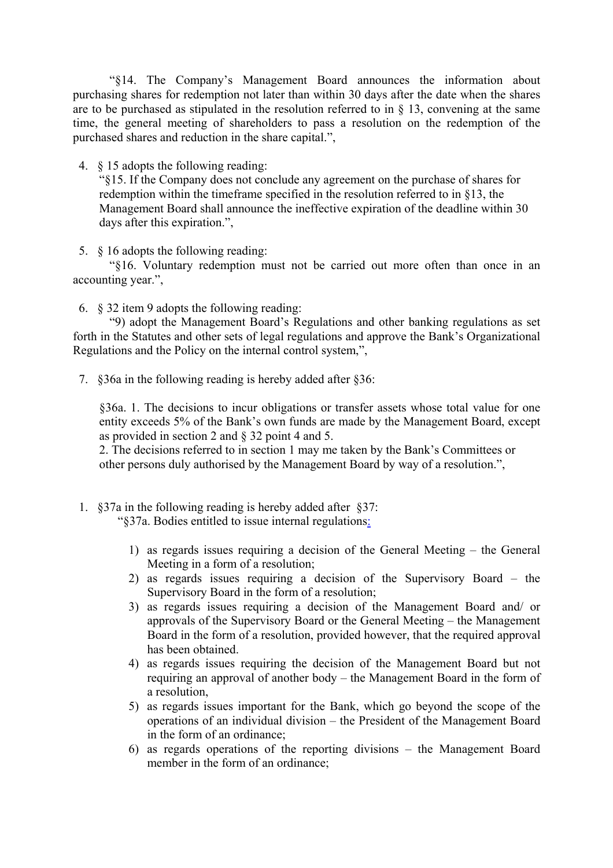"§14. The Company's Management Board announces the information about purchasing shares for redemption not later than within 30 days after the date when the shares are to be purchased as stipulated in the resolution referred to in  $\S$  13, convening at the same time, the general meeting of shareholders to pass a resolution on the redemption of the purchased shares and reduction in the share capital.",

4. § 15 adopts the following reading:

"§15. If the Company does not conclude any agreement on the purchase of shares for redemption within the timeframe specified in the resolution referred to in §13, the Management Board shall announce the ineffective expiration of the deadline within 30 days after this expiration.",

5. § 16 adopts the following reading:

"§16. Voluntary redemption must not be carried out more often than once in an accounting year.",

6. § 32 item 9 adopts the following reading:

"9) adopt the Management Board's Regulations and other banking regulations as set forth in the Statutes and other sets of legal regulations and approve the Bank's Organizational Regulations and the Policy on the internal control system,",

7. §36a in the following reading is hereby added after §36:

§36a. 1. The decisions to incur obligations or transfer assets whose total value for one entity exceeds 5% of the Bank's own funds are made by the Management Board, except as provided in section 2 and § 32 point 4 and 5.

2. The decisions referred to in section 1 may me taken by the Bank's Committees or other persons duly authorised by the Management Board by way of a resolution.",

1. §37a in the following reading is hereby added after §37:

"§37a. Bodies entitled to issue internal regulations:

- 1) as regards issues requiring a decision of the General Meeting the General Meeting in a form of a resolution;
- 2) as regards issues requiring a decision of the Supervisory Board the Supervisory Board in the form of a resolution;
- 3) as regards issues requiring a decision of the Management Board and/ or approvals of the Supervisory Board or the General Meeting – the Management Board in the form of a resolution, provided however, that the required approval has been obtained.
- 4) as regards issues requiring the decision of the Management Board but not requiring an approval of another body – the Management Board in the form of a resolution,
- 5) as regards issues important for the Bank, which go beyond the scope of the operations of an individual division – the President of the Management Board in the form of an ordinance;
- 6) as regards operations of the reporting divisions the Management Board member in the form of an ordinance;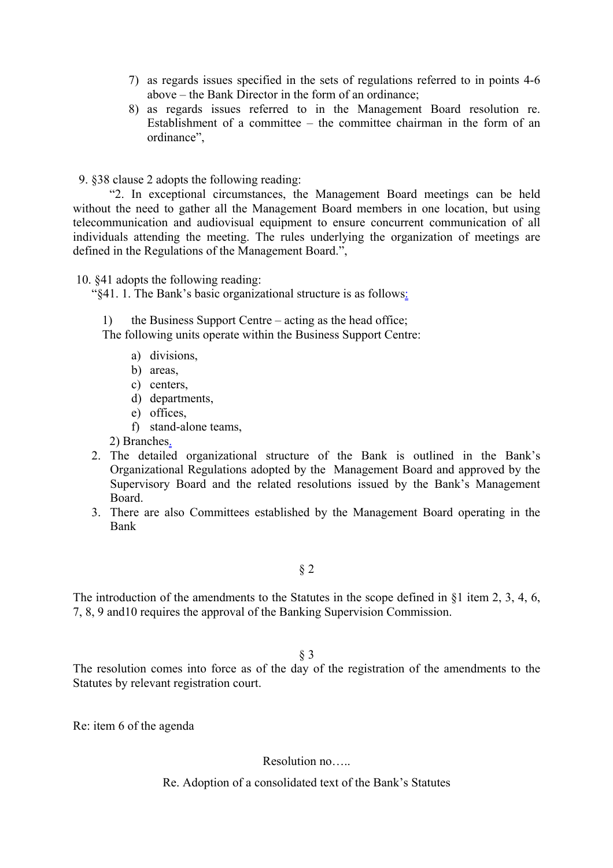- 7) as regards issues specified in the sets of regulations referred to in points 4-6 above – the Bank Director in the form of an ordinance;
- 8) as regards issues referred to in the Management Board resolution re. Establishment of a committee – the committee chairman in the form of an ordinance",

9. §38 clause 2 adopts the following reading:

"2. In exceptional circumstances, the Management Board meetings can be held without the need to gather all the Management Board members in one location, but using telecommunication and audiovisual equipment to ensure concurrent communication of all individuals attending the meeting. The rules underlying the organization of meetings are defined in the Regulations of the Management Board.",

10. §41 adopts the following reading:

"§41. 1. The Bank's basic organizational structure is as follows:

the Business Support Centre – acting as the head office;

The following units operate within the Business Support Centre:

- a) divisions,
- b) areas,
- c) centers,
- d) departments,
- e) offices,
- f) stand-alone teams,

2) Branches.

- 2. The detailed organizational structure of the Bank is outlined in the Bank's Organizational Regulations adopted by the Management Board and approved by the Supervisory Board and the related resolutions issued by the Bank's Management Board.
- 3. There are also Committees established by the Management Board operating in the Bank

§ 2

The introduction of the amendments to the Statutes in the scope defined in §1 item 2, 3, 4, 6, 7, 8, 9 and10 requires the approval of the Banking Supervision Commission.

§ 3

The resolution comes into force as of the day of the registration of the amendments to the Statutes by relevant registration court.

Re: item 6 of the agenda

Resolution no…..

Re. Adoption of a consolidated text of the Bank's Statutes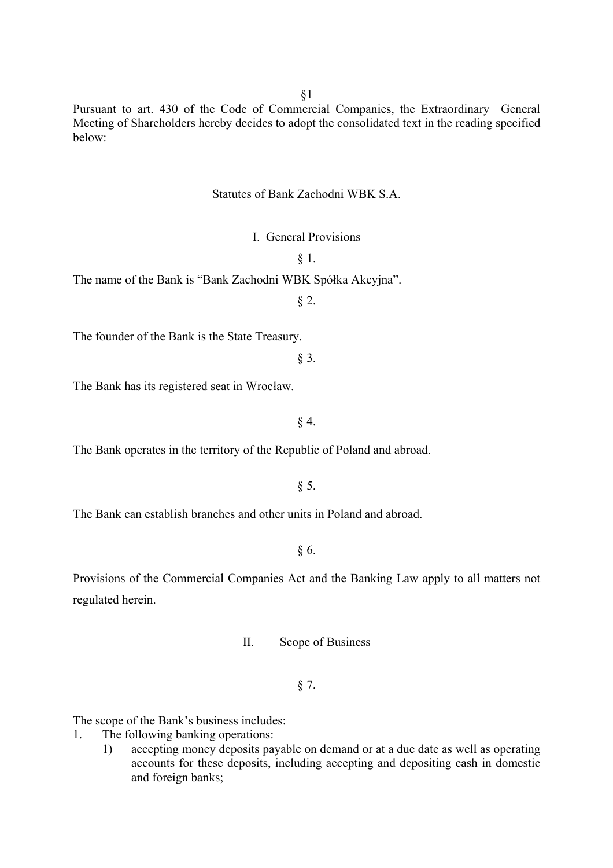§1

Pursuant to art. 430 of the Code of Commercial Companies, the Extraordinary General Meeting of Shareholders hereby decides to adopt the consolidated text in the reading specified below:

# Statutes of Bank Zachodni WBK S.A.

I. General Provisions

§ 1.

The name of the Bank is "Bank Zachodni WBK Spółka Akcyjna".

§ 2.

The founder of the Bank is the State Treasury.

§ 3.

The Bank has its registered seat in Wrocław.

 $§$  4.

The Bank operates in the territory of the Republic of Poland and abroad.

§ 5.

The Bank can establish branches and other units in Poland and abroad.

§ 6.

Provisions of the Commercial Companies Act and the Banking Law apply to all matters not regulated herein.

II. Scope of Business

§ 7.

The scope of the Bank's business includes:

1. The following banking operations:

1) accepting money deposits payable on demand or at a due date as well as operating accounts for these deposits, including accepting and depositing cash in domestic and foreign banks;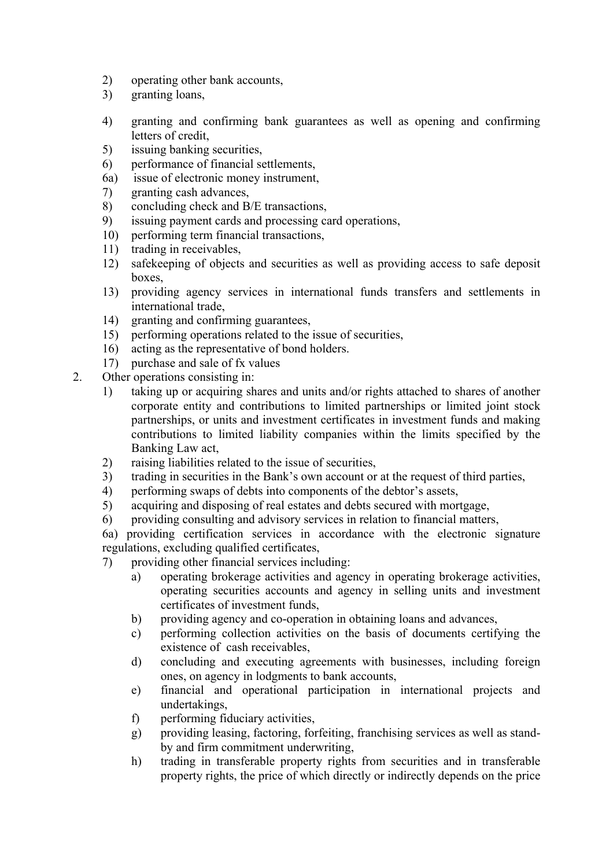- 2) operating other bank accounts,
- 3) granting loans,
- 4) granting and confirming bank guarantees as well as opening and confirming letters of credit,
- 5) issuing banking securities,
- 6) performance of financial settlements,
- 6a) issue of electronic money instrument,
- 7) granting cash advances,
- 8) concluding check and B/E transactions,
- 9) issuing payment cards and processing card operations,
- 10) performing term financial transactions,
- 11) trading in receivables,
- 12) safekeeping of objects and securities as well as providing access to safe deposit boxes,
- 13) providing agency services in international funds transfers and settlements in international trade,
- 14) granting and confirming guarantees,
- 15) performing operations related to the issue of securities,
- 16) acting as the representative of bond holders.
- 17) purchase and sale of fx values
- 2. Other operations consisting in:
	- 1) taking up or acquiring shares and units and/or rights attached to shares of another corporate entity and contributions to limited partnerships or limited joint stock partnerships, or units and investment certificates in investment funds and making contributions to limited liability companies within the limits specified by the Banking Law act,
	- 2) raising liabilities related to the issue of securities,
	- 3) trading in securities in the Bank's own account or at the request of third parties,
	- 4) performing swaps of debts into components of the debtor's assets,
	- 5) acquiring and disposing of real estates and debts secured with mortgage,
	- 6) providing consulting and advisory services in relation to financial matters,

6a) providing certification services in accordance with the electronic signature regulations, excluding qualified certificates,

7) providing other financial services including:

- a) operating brokerage activities and agency in operating brokerage activities, operating securities accounts and agency in selling units and investment certificates of investment funds,
- b) providing agency and co-operation in obtaining loans and advances,
- c) performing collection activities on the basis of documents certifying the existence of cash receivables,
- d) concluding and executing agreements with businesses, including foreign ones, on agency in lodgments to bank accounts,
- e) financial and operational participation in international projects and undertakings,
- f) performing fiduciary activities,
- g) providing leasing, factoring, forfeiting, franchising services as well as standby and firm commitment underwriting,
- h) trading in transferable property rights from securities and in transferable property rights, the price of which directly or indirectly depends on the price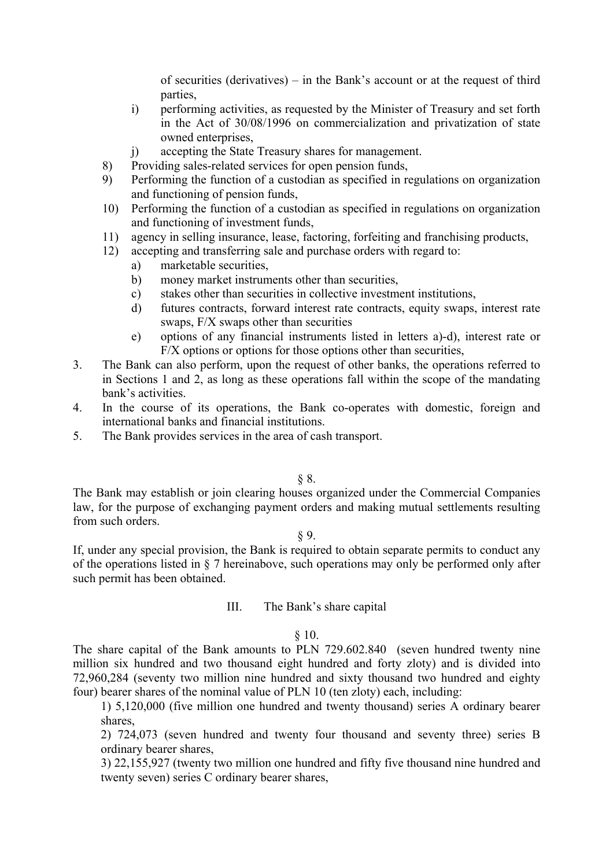of securities (derivatives) – in the Bank's account or at the request of third parties,

- i) performing activities, as requested by the Minister of Treasury and set forth in the Act of 30/08/1996 on commercialization and privatization of state owned enterprises,
- j) accepting the State Treasury shares for management.
- 8) Providing sales-related services for open pension funds,
- 9) Performing the function of a custodian as specified in regulations on organization and functioning of pension funds,
- 10) Performing the function of a custodian as specified in regulations on organization and functioning of investment funds,
- 11) agency in selling insurance, lease, factoring, forfeiting and franchising products,
- 12) accepting and transferring sale and purchase orders with regard to:
	- a) marketable securities,
	- b) money market instruments other than securities,
	- c) stakes other than securities in collective investment institutions,
	- d) futures contracts, forward interest rate contracts, equity swaps, interest rate swaps, F/X swaps other than securities
	- e) options of any financial instruments listed in letters a)-d), interest rate or F/X options or options for those options other than securities,
- 3. The Bank can also perform, upon the request of other banks, the operations referred to in Sections 1 and 2, as long as these operations fall within the scope of the mandating bank's activities.
- 4. In the course of its operations, the Bank co-operates with domestic, foreign and international banks and financial institutions.
- 5. The Bank provides services in the area of cash transport.

§ 8.

The Bank may establish or join clearing houses organized under the Commercial Companies law, for the purpose of exchanging payment orders and making mutual settlements resulting from such orders.

§ 9.

If, under any special provision, the Bank is required to obtain separate permits to conduct any of the operations listed in § 7 hereinabove, such operations may only be performed only after such permit has been obtained.

# III. The Bank's share capital

#### $§ 10.$

The share capital of the Bank amounts to PLN 729.602.840 (seven hundred twenty nine million six hundred and two thousand eight hundred and forty zloty) and is divided into 72,960,284 (seventy two million nine hundred and sixty thousand two hundred and eighty four) bearer shares of the nominal value of PLN 10 (ten zloty) each, including:

1) 5,120,000 (five million one hundred and twenty thousand) series A ordinary bearer shares,

2) 724,073 (seven hundred and twenty four thousand and seventy three) series B ordinary bearer shares,

3) 22,155,927 (twenty two million one hundred and fifty five thousand nine hundred and twenty seven) series C ordinary bearer shares,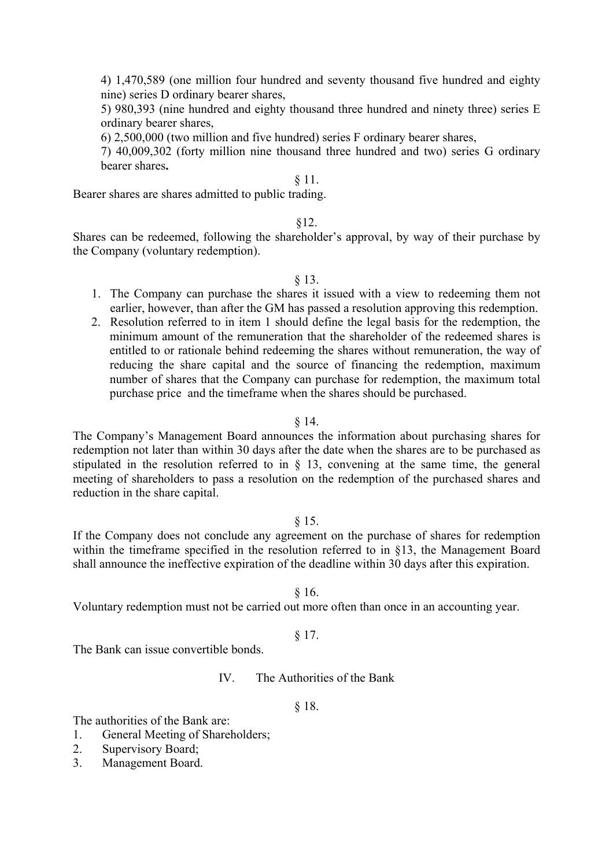4) 1,470,589 (one million four hundred and seventy thousand five hundred and eighty nine) series D ordinary bearer shares,

5) 980,393 (nine hundred and eighty thousand three hundred and ninety three) series E ordinary bearer shares,

6) 2,500,000 (two million and five hundred) series F ordinary bearer shares,

7) 40,009,302 (forty million nine thousand three hundred and two) series G ordinary bearer shares**.** 

# § 11.

Bearer shares are shares admitted to public trading.

# §12.

Shares can be redeemed, following the shareholder's approval, by way of their purchase by the Company (voluntary redemption).

§ 13.

- 1. The Company can purchase the shares it issued with a view to redeeming them not earlier, however, than after the GM has passed a resolution approving this redemption.
- 2. Resolution referred to in item 1 should define the legal basis for the redemption, the minimum amount of the remuneration that the shareholder of the redeemed shares is entitled to or rationale behind redeeming the shares without remuneration, the way of reducing the share capital and the source of financing the redemption, maximum number of shares that the Company can purchase for redemption, the maximum total purchase price and the timeframe when the shares should be purchased.

### § 14.

The Company's Management Board announces the information about purchasing shares for redemption not later than within 30 days after the date when the shares are to be purchased as stipulated in the resolution referred to in § 13, convening at the same time, the general meeting of shareholders to pass a resolution on the redemption of the purchased shares and reduction in the share capital.

### § 15.

If the Company does not conclude any agreement on the purchase of shares for redemption within the timeframe specified in the resolution referred to in §13, the Management Board shall announce the ineffective expiration of the deadline within 30 days after this expiration.

§ 16.

Voluntary redemption must not be carried out more often than once in an accounting year.

### § 17.

The Bank can issue convertible bonds.

IV. The Authorities of the Bank

# § 18.

The authorities of the Bank are:

- 1. General Meeting of Shareholders;
- 2. Supervisory Board;
- 3. Management Board.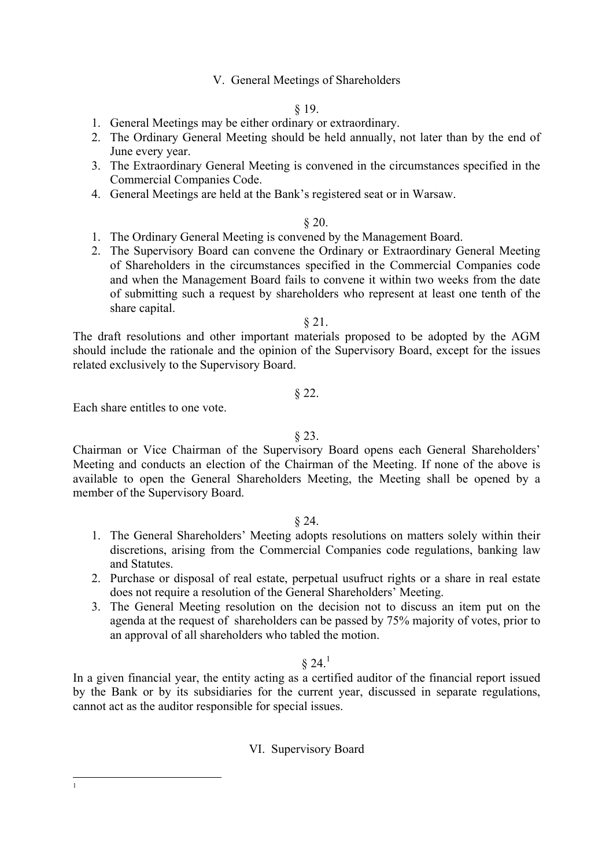# V. General Meetings of Shareholders

# § 19.

- 1. General Meetings may be either ordinary or extraordinary.
- 2. The Ordinary General Meeting should be held annually, not later than by the end of June every year.
- 3. The Extraordinary General Meeting is convened in the circumstances specified in the Commercial Companies Code.
- 4. General Meetings are held at the Bank's registered seat or in Warsaw.

### § 20.

- 1. The Ordinary General Meeting is convened by the Management Board.
- 2. The Supervisory Board can convene the Ordinary or Extraordinary General Meeting of Shareholders in the circumstances specified in the Commercial Companies code and when the Management Board fails to convene it within two weeks from the date of submitting such a request by shareholders who represent at least one tenth of the share capital.

#### § 21.

The draft resolutions and other important materials proposed to be adopted by the AGM should include the rationale and the opinion of the Supervisory Board, except for the issues related exclusively to the Supervisory Board.

### § 22.

Each share entitles to one vote.

### § 23.

Chairman or Vice Chairman of the Supervisory Board opens each General Shareholders' Meeting and conducts an election of the Chairman of the Meeting. If none of the above is available to open the General Shareholders Meeting, the Meeting shall be opened by a member of the Supervisory Board.

# § 24.

- 1. The General Shareholders' Meeting adopts resolutions on matters solely within their discretions, arising from the Commercial Companies code regulations, banking law and Statutes.
- 2. Purchase or disposal of real estate, perpetual usufruct rights or a share in real estate does not require a resolution of the General Shareholders' Meeting.
- 3. The General Meeting resolution on the decision not to discuss an item put on the agenda at the request of shareholders can be passed by 75% majority of votes, prior to an approval of all shareholders who tabled the motion.

# $§ 24<sup>1</sup>$  $§ 24<sup>1</sup>$  $§ 24<sup>1</sup>$

In a given financial year, the entity acting as a certified auditor of the financial report issued by the Bank or by its subsidiaries for the current year, discussed in separate regulations, cannot act as the auditor responsible for special issues.

### VI. Supervisory Board

<span id="page-8-0"></span>1 1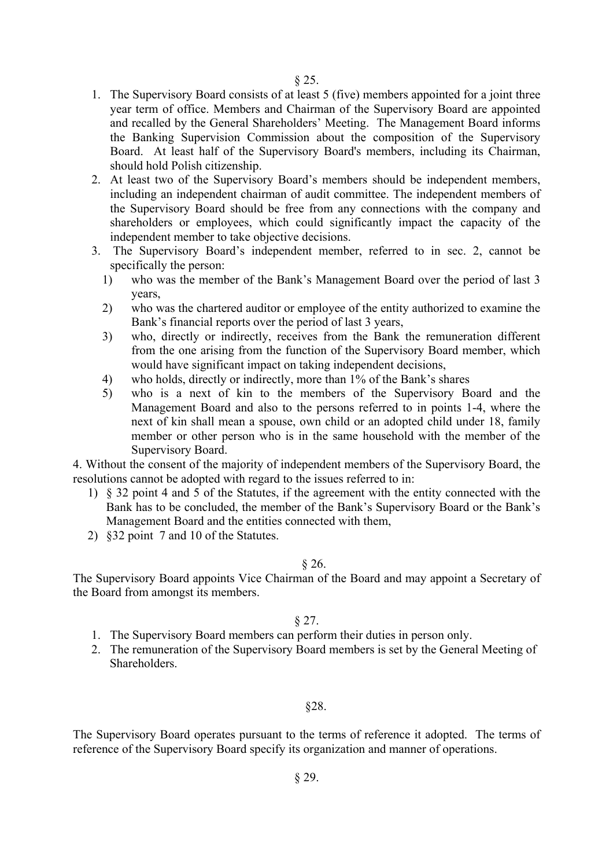- 1. The Supervisory Board consists of at least 5 (five) members appointed for a joint three year term of office. Members and Chairman of the Supervisory Board are appointed and recalled by the General Shareholders' Meeting. The Management Board informs the Banking Supervision Commission about the composition of the Supervisory Board. At least half of the Supervisory Board's members, including its Chairman, should hold Polish citizenship.
- 2. At least two of the Supervisory Board's members should be independent members, including an independent chairman of audit committee. The independent members of the Supervisory Board should be free from any connections with the company and shareholders or employees, which could significantly impact the capacity of the independent member to take objective decisions.
- 3. The Supervisory Board's independent member, referred to in sec. 2, cannot be specifically the person:
	- 1) who was the member of the Bank's Management Board over the period of last 3 years,
	- 2) who was the chartered auditor or employee of the entity authorized to examine the Bank's financial reports over the period of last 3 years,
	- 3) who, directly or indirectly, receives from the Bank the remuneration different from the one arising from the function of the Supervisory Board member, which would have significant impact on taking independent decisions,
	- 4) who holds, directly or indirectly, more than 1% of the Bank's shares
	- 5) who is a next of kin to the members of the Supervisory Board and the Management Board and also to the persons referred to in points 1-4, where the next of kin shall mean a spouse, own child or an adopted child under 18, family member or other person who is in the same household with the member of the Supervisory Board.

4. Without the consent of the majority of independent members of the Supervisory Board, the resolutions cannot be adopted with regard to the issues referred to in:

- 1) § 32 point 4 and 5 of the Statutes, if the agreement with the entity connected with the Bank has to be concluded, the member of the Bank's Supervisory Board or the Bank's Management Board and the entities connected with them,
- 2) §32 point 7 and 10 of the Statutes.

### $§$  26.

The Supervisory Board appoints Vice Chairman of the Board and may appoint a Secretary of the Board from amongst its members.

### $§ 27.$

- 1. The Supervisory Board members can perform their duties in person only.
- 2. The remuneration of the Supervisory Board members is set by the General Meeting of **Shareholders**

### §28.

The Supervisory Board operates pursuant to the terms of reference it adopted. The terms of reference of the Supervisory Board specify its organization and manner of operations.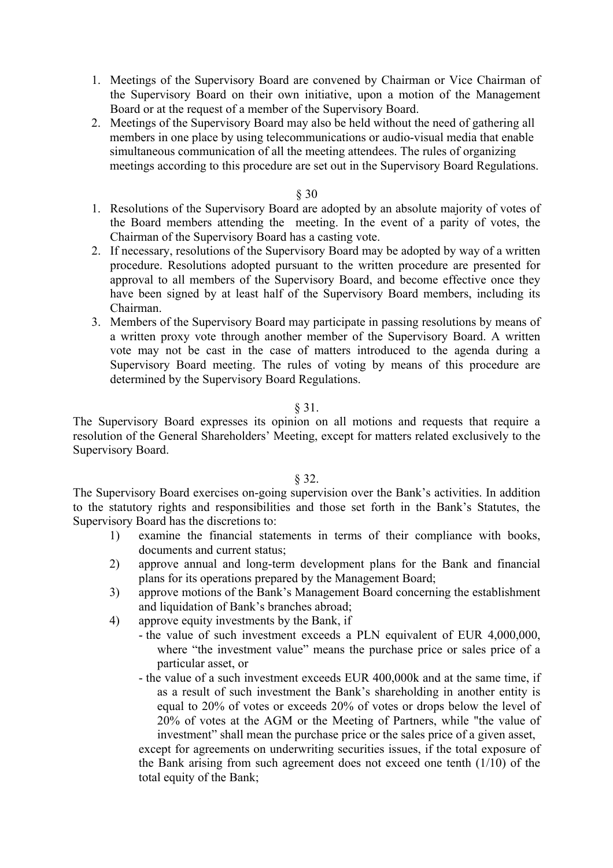1. Meetings of the Supervisory Board are convened by Chairman or Vice Chairman of the Supervisory Board on their own initiative, upon a motion of the Management Board or at the request of a member of the Supervisory Board.

2. Meetings of the Supervisory Board may also be held without the need of gathering all members in one place by using telecommunications or audio-visual media that enable simultaneous communication of all the meeting attendees. The rules of organizing meetings according to this procedure are set out in the Supervisory Board Regulations.

### § 30

- 1. Resolutions of the Supervisory Board are adopted by an absolute majority of votes of the Board members attending the meeting. In the event of a parity of votes, the Chairman of the Supervisory Board has a casting vote.
- 2. If necessary, resolutions of the Supervisory Board may be adopted by way of a written procedure. Resolutions adopted pursuant to the written procedure are presented for approval to all members of the Supervisory Board, and become effective once they have been signed by at least half of the Supervisory Board members, including its Chairman.
- 3. Members of the Supervisory Board may participate in passing resolutions by means of a written proxy vote through another member of the Supervisory Board. A written vote may not be cast in the case of matters introduced to the agenda during a Supervisory Board meeting. The rules of voting by means of this procedure are determined by the Supervisory Board Regulations.

### § 31.

The Supervisory Board expresses its opinion on all motions and requests that require a resolution of the General Shareholders' Meeting, except for matters related exclusively to the Supervisory Board.

# § 32.

The Supervisory Board exercises on-going supervision over the Bank's activities. In addition to the statutory rights and responsibilities and those set forth in the Bank's Statutes, the Supervisory Board has the discretions to:

- 1) examine the financial statements in terms of their compliance with books, documents and current status;
- 2) approve annual and long-term development plans for the Bank and financial plans for its operations prepared by the Management Board;
- 3) approve motions of the Bank's Management Board concerning the establishment and liquidation of Bank's branches abroad;
- 4) approve equity investments by the Bank, if
	- the value of such investment exceeds a PLN equivalent of EUR 4,000,000, where "the investment value" means the purchase price or sales price of a particular asset, or
	- the value of a such investment exceeds EUR 400,000k and at the same time, if as a result of such investment the Bank's shareholding in another entity is equal to 20% of votes or exceeds 20% of votes or drops below the level of 20% of votes at the AGM or the Meeting of Partners, while "the value of investment" shall mean the purchase price or the sales price of a given asset,

except for agreements on underwriting securities issues, if the total exposure of the Bank arising from such agreement does not exceed one tenth (1/10) of the total equity of the Bank;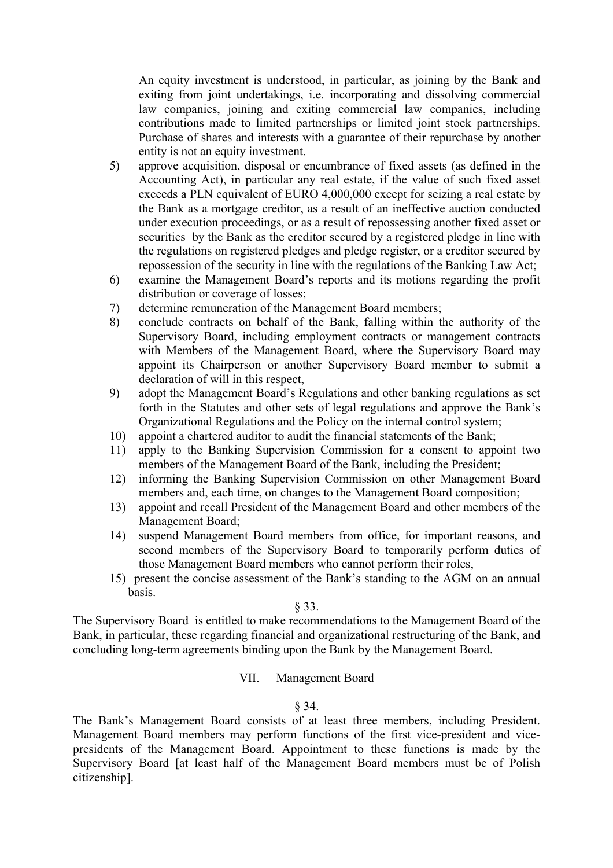An equity investment is understood, in particular, as joining by the Bank and exiting from joint undertakings, i.e. incorporating and dissolving commercial law companies, joining and exiting commercial law companies, including contributions made to limited partnerships or limited joint stock partnerships. Purchase of shares and interests with a guarantee of their repurchase by another entity is not an equity investment.

- 5) approve acquisition, disposal or encumbrance of fixed assets (as defined in the Accounting Act), in particular any real estate, if the value of such fixed asset exceeds a PLN equivalent of EURO 4,000,000 except for seizing a real estate by the Bank as a mortgage creditor, as a result of an ineffective auction conducted under execution proceedings, or as a result of repossessing another fixed asset or securities by the Bank as the creditor secured by a registered pledge in line with the regulations on registered pledges and pledge register, or a creditor secured by repossession of the security in line with the regulations of the Banking Law Act;
- 6) examine the Management Board's reports and its motions regarding the profit distribution or coverage of losses;
- 7) determine remuneration of the Management Board members;
- 8) conclude contracts on behalf of the Bank, falling within the authority of the Supervisory Board, including employment contracts or management contracts with Members of the Management Board, where the Supervisory Board may appoint its Chairperson or another Supervisory Board member to submit a declaration of will in this respect,
- 9) adopt the Management Board's Regulations and other banking regulations as set forth in the Statutes and other sets of legal regulations and approve the Bank's Organizational Regulations and the Policy on the internal control system;
- 10) appoint a chartered auditor to audit the financial statements of the Bank;
- 11) apply to the Banking Supervision Commission for a consent to appoint two members of the Management Board of the Bank, including the President;
- 12) informing the Banking Supervision Commission on other Management Board members and, each time, on changes to the Management Board composition;
- 13) appoint and recall President of the Management Board and other members of the Management Board;
- 14) suspend Management Board members from office, for important reasons, and second members of the Supervisory Board to temporarily perform duties of those Management Board members who cannot perform their roles,
- 15) present the concise assessment of the Bank's standing to the AGM on an annual basis.

#### § 33.

The Supervisory Board is entitled to make recommendations to the Management Board of the Bank, in particular, these regarding financial and organizational restructuring of the Bank, and concluding long-term agreements binding upon the Bank by the Management Board.

### VII. Management Board

#### § 34.

The Bank's Management Board consists of at least three members, including President. Management Board members may perform functions of the first vice-president and vicepresidents of the Management Board. Appointment to these functions is made by the Supervisory Board [at least half of the Management Board members must be of Polish citizenship].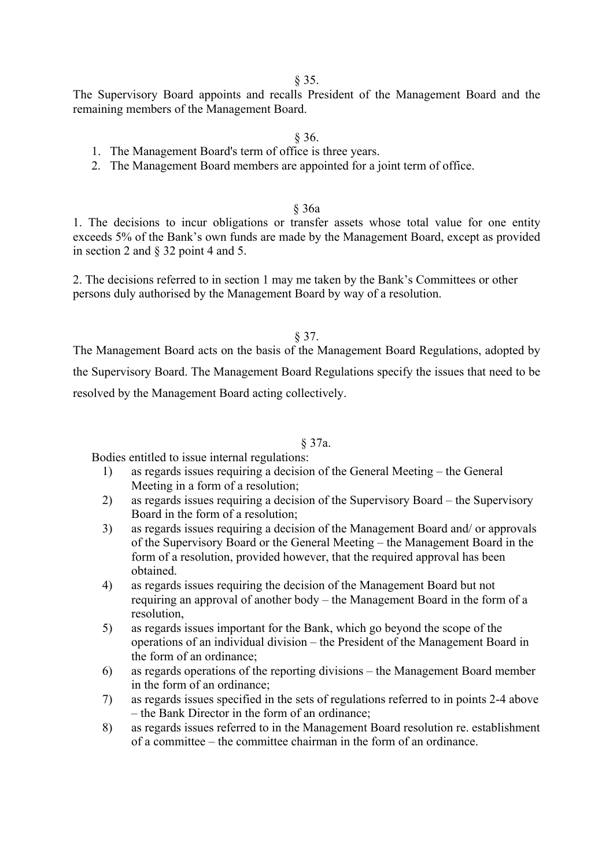§ 35.

The Supervisory Board appoints and recalls President of the Management Board and the remaining members of the Management Board.

§ 36.

- 1. The Management Board's term of office is three years.
- 2. The Management Board members are appointed for a joint term of office.

### § 36a

1. The decisions to incur obligations or transfer assets whose total value for one entity exceeds 5% of the Bank's own funds are made by the Management Board, except as provided in section 2 and § 32 point 4 and 5.

2. The decisions referred to in section 1 may me taken by the Bank's Committees or other persons duly authorised by the Management Board by way of a resolution.

### § 37.

The Management Board acts on the basis of the Management Board Regulations, adopted by the Supervisory Board. The Management Board Regulations specify the issues that need to be resolved by the Management Board acting collectively.

### § 37a.

Bodies entitled to issue internal regulations:

- 1) as regards issues requiring a decision of the General Meeting the General Meeting in a form of a resolution;
- 2) as regards issues requiring a decision of the Supervisory Board the Supervisory Board in the form of a resolution;
- 3) as regards issues requiring a decision of the Management Board and/ or approvals of the Supervisory Board or the General Meeting – the Management Board in the form of a resolution, provided however, that the required approval has been obtained.
- 4) as regards issues requiring the decision of the Management Board but not requiring an approval of another body – the Management Board in the form of a resolution,
- 5) as regards issues important for the Bank, which go beyond the scope of the operations of an individual division – the President of the Management Board in the form of an ordinance;
- 6) as regards operations of the reporting divisions the Management Board member in the form of an ordinance;
- 7) as regards issues specified in the sets of regulations referred to in points 2-4 above – the Bank Director in the form of an ordinance;
- 8) as regards issues referred to in the Management Board resolution re. establishment of a committee – the committee chairman in the form of an ordinance.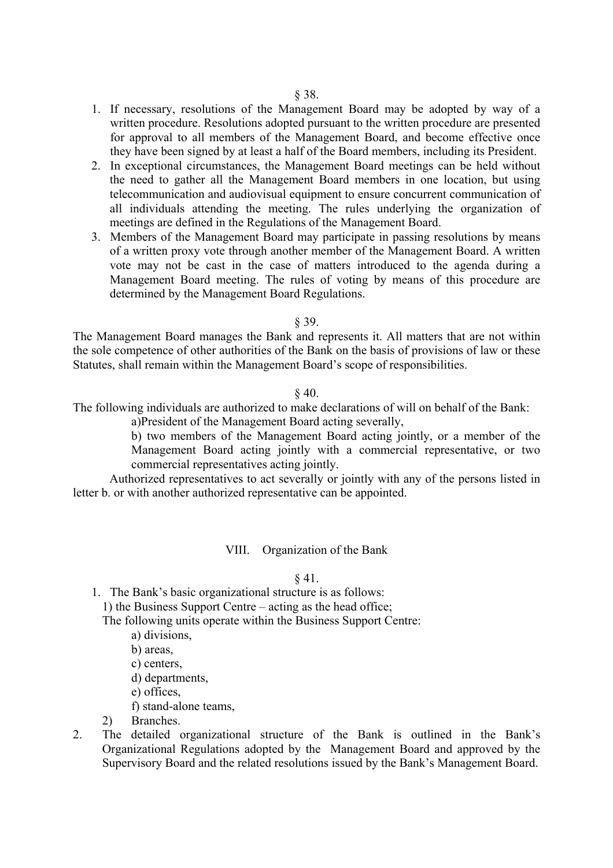- 1. If necessary, resolutions of the Management Board may be adopted by way of a written procedure. Resolutions adopted pursuant to the written procedure are presented for approval to all members of the Management Board, and become effective once they have been signed by at least a half of the Board members, including its President.
- 2. In exceptional circumstances, the Management Board meetings can be held without the need to gather all the Management Board members in one location, but using telecommunication and audiovisual equipment to ensure concurrent communication of all individuals attending the meeting. The rules underlying the organization of meetings are defined in the Regulations of the Management Board.
- 3. Members of the Management Board may participate in passing resolutions by means of a written proxy vote through another member of the Management Board. A written vote may not be cast in the case of matters introduced to the agenda during a Management Board meeting. The rules of voting by means of this procedure are determined by the Management Board Regulations.

#### § 39.

The Management Board manages the Bank and represents it. All matters that are not within the sole competence of other authorities of the Bank on the basis of provisions of law or these Statutes, shall remain within the Management Board's scope of responsibilities.

#### § 40.

The following individuals are authorized to make declarations of will on behalf of the Bank:

a)President of the Management Board acting severally,

b) two members of the Management Board acting jointly, or a member of the Management Board acting jointly with a commercial representative, or two commercial representatives acting jointly.

Authorized representatives to act severally or jointly with any of the persons listed in letter b. or with another authorized representative can be appointed.

#### VIII. Organization of the Bank

#### § 41.

1. The Bank's basic organizational structure is as follows:

1) the Business Support Centre – acting as the head office;

The following units operate within the Business Support Centre:

- a) divisions,
- b) areas
- c) centers,
- d) departments,
- e) offices,
- f) stand-alone teams,
- 2) Branches.
- 2. The detailed organizational structure of the Bank is outlined in the Bank's Organizational Regulations adopted by the Management Board and approved by the Supervisory Board and the related resolutions issued by the Bank's Management Board.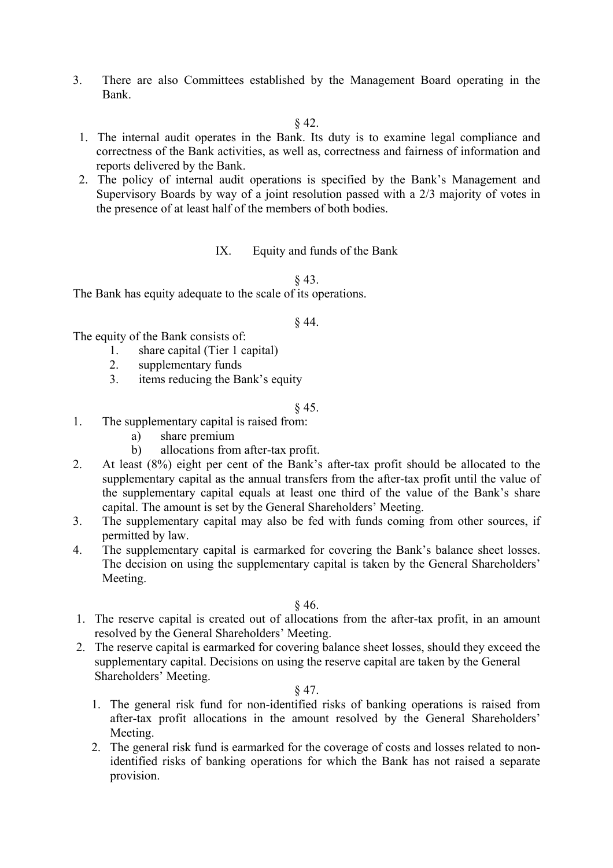3. There are also Committees established by the Management Board operating in the Bank.

§ 42.

- 1. The internal audit operates in the Bank. Its duty is to examine legal compliance and correctness of the Bank activities, as well as, correctness and fairness of information and reports delivered by the Bank.
- 2. The policy of internal audit operations is specified by the Bank's Management and Supervisory Boards by way of a joint resolution passed with a 2/3 majority of votes in the presence of at least half of the members of both bodies.

IX. Equity and funds of the Bank

§ 43.

The Bank has equity adequate to the scale of its operations.

### § 44.

The equity of the Bank consists of:

- 1. share capital (Tier 1 capital)
- 2. supplementary funds
- 3. items reducing the Bank's equity

# § 45.

- 1. The supplementary capital is raised from:
	- a) share premium
	- b) allocations from after-tax profit.
- 2. At least (8%) eight per cent of the Bank's after-tax profit should be allocated to the supplementary capital as the annual transfers from the after-tax profit until the value of the supplementary capital equals at least one third of the value of the Bank's share capital. The amount is set by the General Shareholders' Meeting.
- 3. The supplementary capital may also be fed with funds coming from other sources, if permitted by law.
- 4. The supplementary capital is earmarked for covering the Bank's balance sheet losses. The decision on using the supplementary capital is taken by the General Shareholders' Meeting.

§ 46.

- 1. The reserve capital is created out of allocations from the after-tax profit, in an amount resolved by the General Shareholders' Meeting.
- 2. The reserve capital is earmarked for covering balance sheet losses, should they exceed the supplementary capital. Decisions on using the reserve capital are taken by the General Shareholders' Meeting.

### § 47.

- 1. The general risk fund for non-identified risks of banking operations is raised from after-tax profit allocations in the amount resolved by the General Shareholders' Meeting.
- 2. The general risk fund is earmarked for the coverage of costs and losses related to nonidentified risks of banking operations for which the Bank has not raised a separate provision.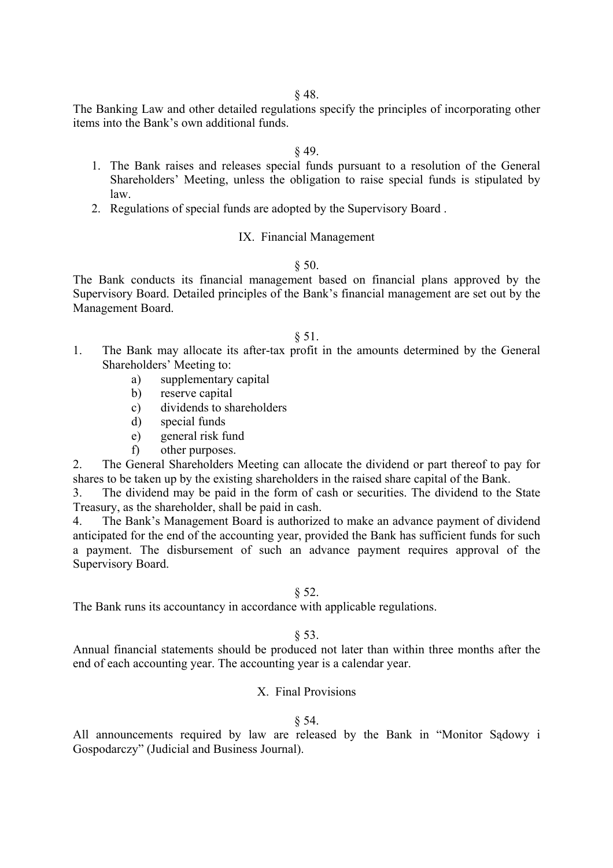The Banking Law and other detailed regulations specify the principles of incorporating other items into the Bank's own additional funds.

#### § 49.

- 1. The Bank raises and releases special funds pursuant to a resolution of the General Shareholders' Meeting, unless the obligation to raise special funds is stipulated by law.
- 2. Regulations of special funds are adopted by the Supervisory Board .

#### IX. Financial Management

#### $§ 50.$

The Bank conducts its financial management based on financial plans approved by the Supervisory Board. Detailed principles of the Bank's financial management are set out by the Management Board.

### § 51.

- 1. The Bank may allocate its after-tax profit in the amounts determined by the General Shareholders' Meeting to:
	- a) supplementary capital
	- b) reserve capital
	- c) dividends to shareholders
	- d) special funds
	- e) general risk fund
	- f) other purposes.

2. The General Shareholders Meeting can allocate the dividend or part thereof to pay for shares to be taken up by the existing shareholders in the raised share capital of the Bank.

3. The dividend may be paid in the form of cash or securities. The dividend to the State Treasury, as the shareholder, shall be paid in cash.

4. The Bank's Management Board is authorized to make an advance payment of dividend anticipated for the end of the accounting year, provided the Bank has sufficient funds for such a payment. The disbursement of such an advance payment requires approval of the Supervisory Board.

#### $§ 52.$

The Bank runs its accountancy in accordance with applicable regulations.

#### $§ 53.$

Annual financial statements should be produced not later than within three months after the end of each accounting year. The accounting year is a calendar year.

#### X. Final Provisions

#### § 54.

All announcements required by law are released by the Bank in "Monitor Sądowy i Gospodarczy" (Judicial and Business Journal).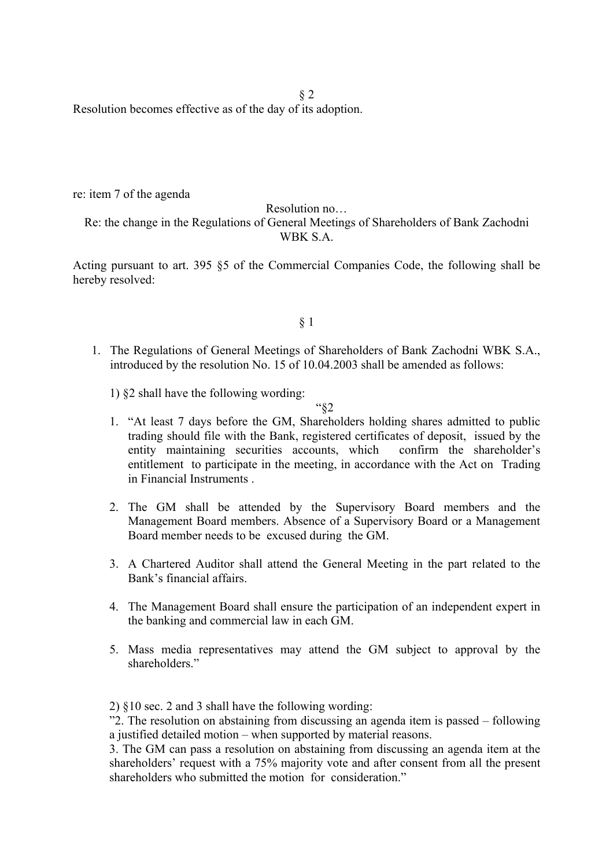§ 2

Resolution becomes effective as of the day of its adoption.

re: item 7 of the agenda

Resolution no…

Re: the change in the Regulations of General Meetings of Shareholders of Bank Zachodni WBK S.A.

Acting pursuant to art. 395 §5 of the Commercial Companies Code, the following shall be hereby resolved:

# § 1

1. The Regulations of General Meetings of Shareholders of Bank Zachodni WBK S.A., introduced by the resolution No. 15 of 10.04.2003 shall be amended as follows:

1) §2 shall have the following wording:

"§2

- 1. "At least 7 days before the GM, Shareholders holding shares admitted to public trading should file with the Bank, registered certificates of deposit, issued by the entity maintaining securities accounts, which confirm the shareholder's entitlement to participate in the meeting, in accordance with the Act on Trading in Financial Instruments .
- 2. The GM shall be attended by the Supervisory Board members and the Management Board members. Absence of a Supervisory Board or a Management Board member needs to be excused during the GM.
- 3. A Chartered Auditor shall attend the General Meeting in the part related to the Bank's financial affairs.
- 4. The Management Board shall ensure the participation of an independent expert in the banking and commercial law in each GM.
- 5. Mass media representatives may attend the GM subject to approval by the shareholders."

<sup>2) §10</sup> sec. 2 and 3 shall have the following wording:

<sup>&</sup>quot;2. The resolution on abstaining from discussing an agenda item is passed – following a justified detailed motion – when supported by material reasons.

<sup>3.</sup> The GM can pass a resolution on abstaining from discussing an agenda item at the shareholders' request with a 75% majority vote and after consent from all the present shareholders who submitted the motion for consideration"